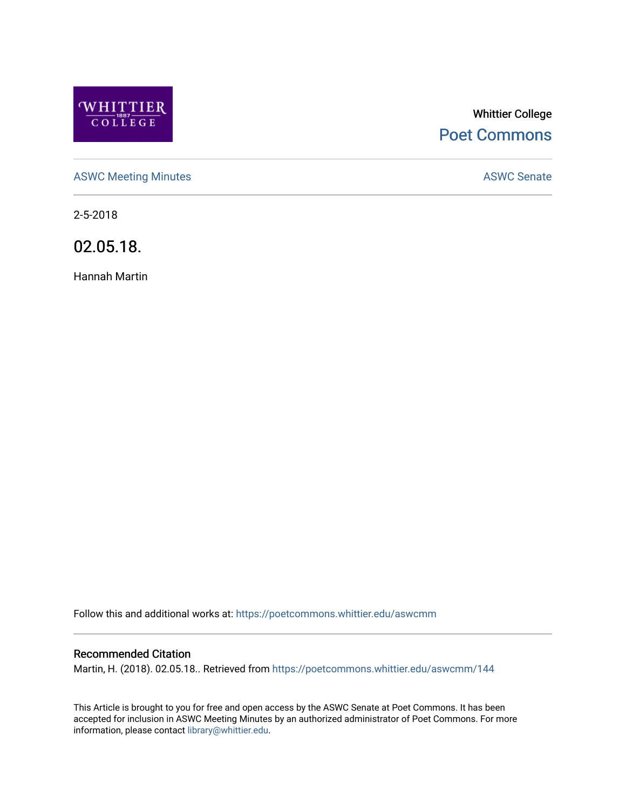

# Whittier College [Poet Commons](https://poetcommons.whittier.edu/)

[ASWC Meeting Minutes](https://poetcommons.whittier.edu/aswcmm) **ASWC Senate** 

2-5-2018

02.05.18.

Hannah Martin

Follow this and additional works at: [https://poetcommons.whittier.edu/aswcmm](https://poetcommons.whittier.edu/aswcmm?utm_source=poetcommons.whittier.edu%2Faswcmm%2F144&utm_medium=PDF&utm_campaign=PDFCoverPages)

#### Recommended Citation

Martin, H. (2018). 02.05.18.. Retrieved from [https://poetcommons.whittier.edu/aswcmm/144](https://poetcommons.whittier.edu/aswcmm/144?utm_source=poetcommons.whittier.edu%2Faswcmm%2F144&utm_medium=PDF&utm_campaign=PDFCoverPages) 

This Article is brought to you for free and open access by the ASWC Senate at Poet Commons. It has been accepted for inclusion in ASWC Meeting Minutes by an authorized administrator of Poet Commons. For more information, please contact [library@whittier.edu.](mailto:library@whittier.edu)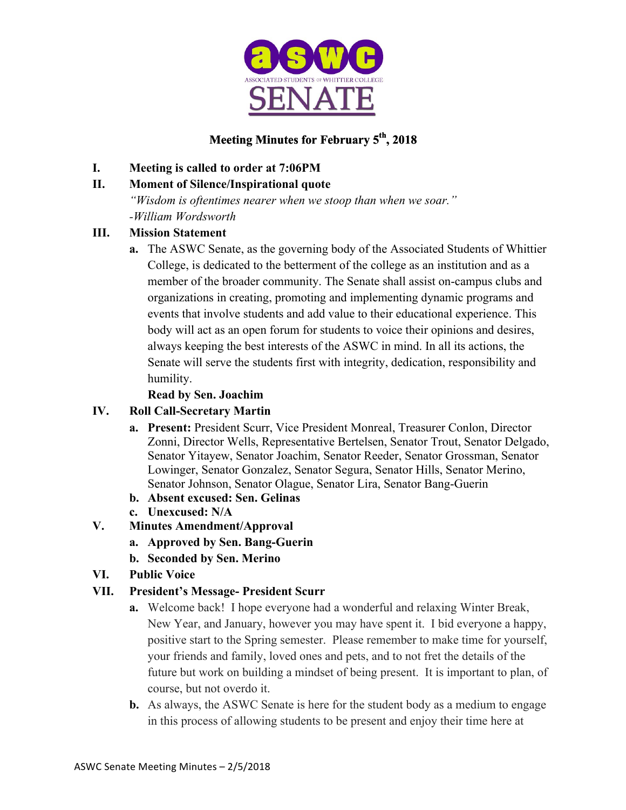

## **Meeting Minutes for February 5th, 2018**

## **I. Meeting is called to order at 7:06PM**

## **II. Moment of Silence/Inspirational quote**

*"Wisdom is oftentimes nearer when we stoop than when we soar."* 

*-William Wordsworth*

## **III. Mission Statement**

**a.** The ASWC Senate, as the governing body of the Associated Students of Whittier College, is dedicated to the betterment of the college as an institution and as a member of the broader community. The Senate shall assist on-campus clubs and organizations in creating, promoting and implementing dynamic programs and events that involve students and add value to their educational experience. This body will act as an open forum for students to voice their opinions and desires, always keeping the best interests of the ASWC in mind. In all its actions, the Senate will serve the students first with integrity, dedication, responsibility and humility.

## **Read by Sen. Joachim**

## **IV. Roll Call-Secretary Martin**

- **a. Present:** President Scurr, Vice President Monreal, Treasurer Conlon, Director Zonni, Director Wells, Representative Bertelsen, Senator Trout, Senator Delgado, Senator Yitayew, Senator Joachim, Senator Reeder, Senator Grossman, Senator Lowinger, Senator Gonzalez, Senator Segura, Senator Hills, Senator Merino, Senator Johnson, Senator Olague, Senator Lira, Senator Bang-Guerin
- **b. Absent excused: Sen. Gelinas**
- **c. Unexcused: N/A**
- **V. Minutes Amendment/Approval**
	- **a. Approved by Sen. Bang-Guerin**
	- **b. Seconded by Sen. Merino**
- **VI. Public Voice**

## **VII. President's Message- President Scurr**

- **a.** Welcome back! I hope everyone had a wonderful and relaxing Winter Break, New Year, and January, however you may have spent it. I bid everyone a happy, positive start to the Spring semester. Please remember to make time for yourself, your friends and family, loved ones and pets, and to not fret the details of the future but work on building a mindset of being present. It is important to plan, of course, but not overdo it.
- **b.** As always, the ASWC Senate is here for the student body as a medium to engage in this process of allowing students to be present and enjoy their time here at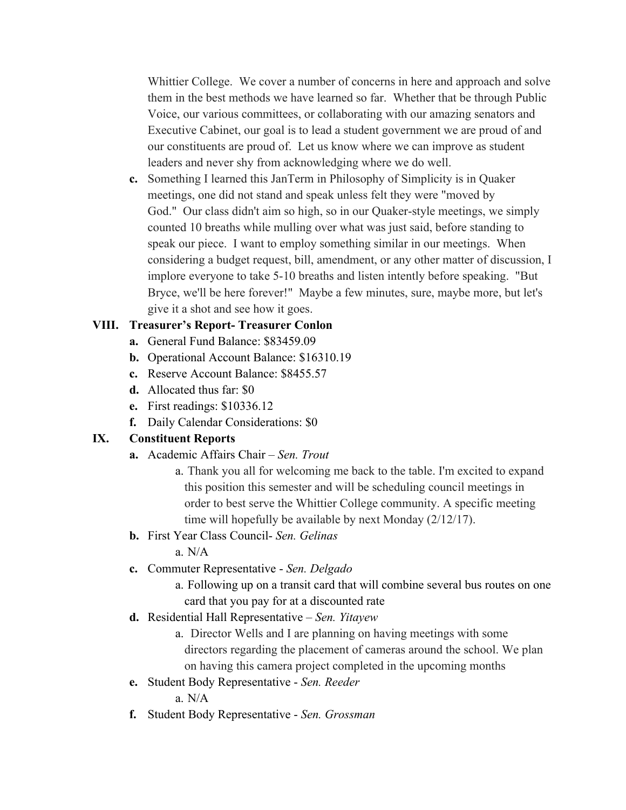Whittier College. We cover a number of concerns in here and approach and solve them in the best methods we have learned so far. Whether that be through Public Voice, our various committees, or collaborating with our amazing senators and Executive Cabinet, our goal is to lead a student government we are proud of and our constituents are proud of. Let us know where we can improve as student leaders and never shy from acknowledging where we do well.

**c.** Something I learned this JanTerm in Philosophy of Simplicity is in Quaker meetings, one did not stand and speak unless felt they were "moved by God." Our class didn't aim so high, so in our Quaker-style meetings, we simply counted 10 breaths while mulling over what was just said, before standing to speak our piece. I want to employ something similar in our meetings. When considering a budget request, bill, amendment, or any other matter of discussion, I implore everyone to take 5-10 breaths and listen intently before speaking. "But Bryce, we'll be here forever!" Maybe a few minutes, sure, maybe more, but let's give it a shot and see how it goes.

## **VIII. Treasurer's Report- Treasurer Conlon**

- **a.** General Fund Balance: \$83459.09
- **b.** Operational Account Balance: \$16310.19
- **c.** Reserve Account Balance: \$8455.57
- **d.** Allocated thus far: \$0
- **e.** First readings: \$10336.12
- **f.** Daily Calendar Considerations: \$0

#### **IX. Constituent Reports**

- **a.** Academic Affairs Chair *Sen. Trout*
	- a. Thank you all for welcoming me back to the table. I'm excited to expand this position this semester and will be scheduling council meetings in order to best serve the Whittier College community. A specific meeting time will hopefully be available by next Monday (2/12/17).
- **b.** First Year Class Council- *Sen. Gelinas*

a. N/A

**c.** Commuter Representative - *Sen. Delgado*

a. Following up on a transit card that will combine several bus routes on one card that you pay for at a discounted rate

- **d.** Residential Hall Representative *Sen. Yitayew*
	- a. Director Wells and I are planning on having meetings with some directors regarding the placement of cameras around the school. We plan on having this camera project completed in the upcoming months
- **e.** Student Body Representative *Sen. Reeder*

a. N/A

**f.** Student Body Representative - *Sen. Grossman*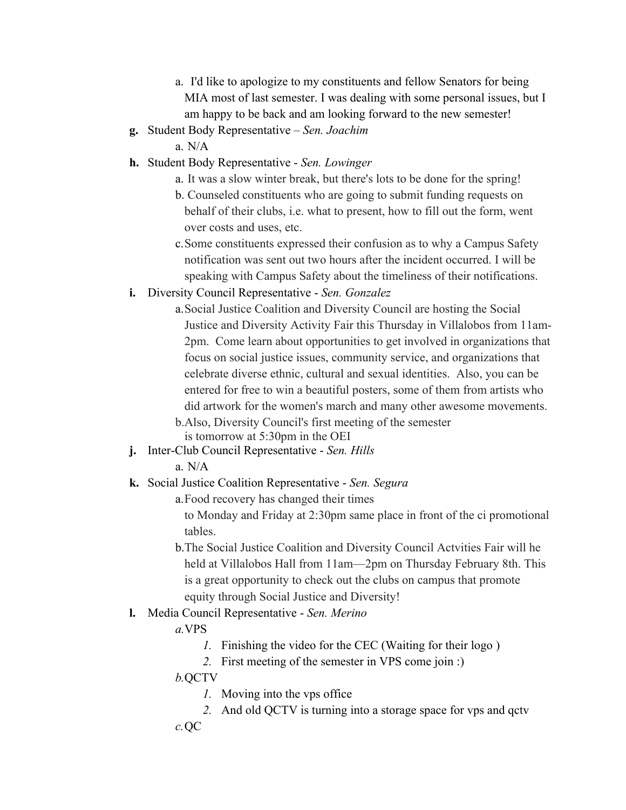- a. I'd like to apologize to my constituents and fellow Senators for being MIA most of last semester. I was dealing with some personal issues, but I am happy to be back and am looking forward to the new semester!
- **g.** Student Body Representative *Sen. Joachim*
	- a. N/A
- **h.** Student Body Representative *Sen. Lowinger*
	- a. It was a slow winter break, but there's lots to be done for the spring!
	- b. Counseled constituents who are going to submit funding requests on behalf of their clubs, i.e. what to present, how to fill out the form, went over costs and uses, etc.
	- c.Some constituents expressed their confusion as to why a Campus Safety notification was sent out two hours after the incident occurred. I will be speaking with Campus Safety about the timeliness of their notifications.
- **i.** Diversity Council Representative *Sen. Gonzalez*
	- a.Social Justice Coalition and Diversity Council are hosting the Social Justice and Diversity Activity Fair this Thursday in Villalobos from 11am-2pm. Come learn about opportunities to get involved in organizations that focus on social justice issues, community service, and organizations that celebrate diverse ethnic, cultural and sexual identities. Also, you can be entered for free to win a beautiful posters, some of them from artists who did artwork for the women's march and many other awesome movements.
	- b.Also, Diversity Council's first meeting of the semester is tomorrow at 5:30pm in the OEI
- **j.** Inter-Club Council Representative *Sen. Hills*
	- a. N/A
- **k.** Social Justice Coalition Representative *Sen. Segura*

a.Food recovery has changed their times

to Monday and Friday at 2:30pm same place in front of the ci promotional tables.

b.The Social Justice Coalition and Diversity Council Actvities Fair will he held at Villalobos Hall from 11am—2pm on Thursday February 8th. This is a great opportunity to check out the clubs on campus that promote equity through Social Justice and Diversity!

#### **l.** Media Council Representative - *Sen. Merino*

#### *a.*VPS

- *1.* Finishing the video for the CEC (Waiting for their logo )
- *2.* First meeting of the semester in VPS come join :)

#### *b.*QCTV

- *1.* Moving into the vps office
- *2.* And old QCTV is turning into a storage space for vps and qctv *c.*QC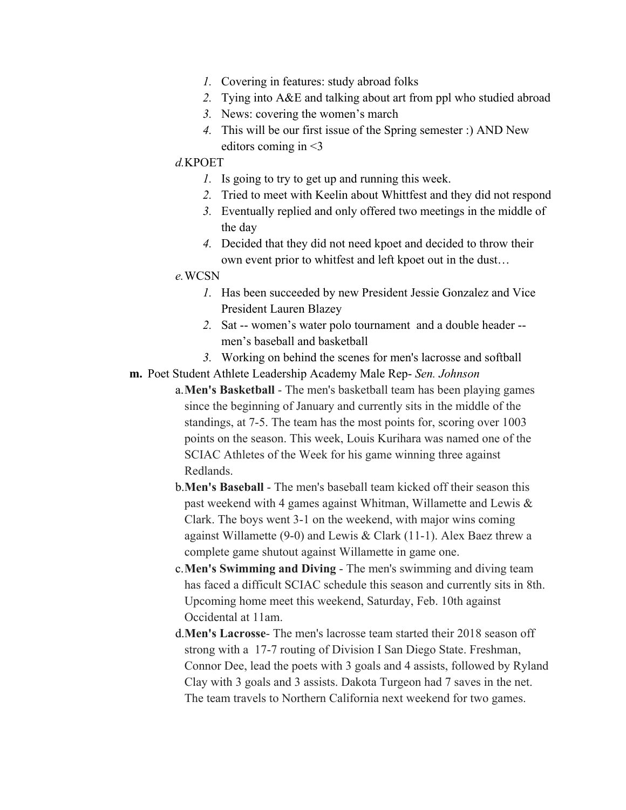- *1.* Covering in features: study abroad folks
- *2.* Tying into A&E and talking about art from ppl who studied abroad
- *3.* News: covering the women's march
- *4.* This will be our first issue of the Spring semester :) AND New editors coming in <3

#### *d.*KPOET

- *1.* Is going to try to get up and running this week.
- *2.* Tried to meet with Keelin about Whittfest and they did not respond
- *3.* Eventually replied and only offered two meetings in the middle of the day
- *4.* Decided that they did not need kpoet and decided to throw their own event prior to whitfest and left kpoet out in the dust…

#### *e.*WCSN

- *1.* Has been succeeded by new President Jessie Gonzalez and Vice President Lauren Blazey
- *2.* Sat -- women's water polo tournament and a double header men's baseball and basketball
- *3.* Working on behind the scenes for men's lacrosse and softball
- **m.** Poet Student Athlete Leadership Academy Male Rep- *Sen. Johnson*
	- a.**Men's Basketball** The men's basketball team has been playing games since the beginning of January and currently sits in the middle of the standings, at 7-5. The team has the most points for, scoring over 1003 points on the season. This week, Louis Kurihara was named one of the SCIAC Athletes of the Week for his game winning three against Redlands.
	- b.**Men's Baseball** The men's baseball team kicked off their season this past weekend with 4 games against Whitman, Willamette and Lewis & Clark. The boys went 3-1 on the weekend, with major wins coming against Willamette (9-0) and Lewis & Clark (11-1). Alex Baez threw a complete game shutout against Willamette in game one.
	- c.**Men's Swimming and Diving** The men's swimming and diving team has faced a difficult SCIAC schedule this season and currently sits in 8th. Upcoming home meet this weekend, Saturday, Feb. 10th against Occidental at 11am.
	- d.**Men's Lacrosse** The men's lacrosse team started their 2018 season off strong with a 17-7 routing of Division I San Diego State. Freshman, Connor Dee, lead the poets with 3 goals and 4 assists, followed by Ryland Clay with 3 goals and 3 assists. Dakota Turgeon had 7 saves in the net. The team travels to Northern California next weekend for two games.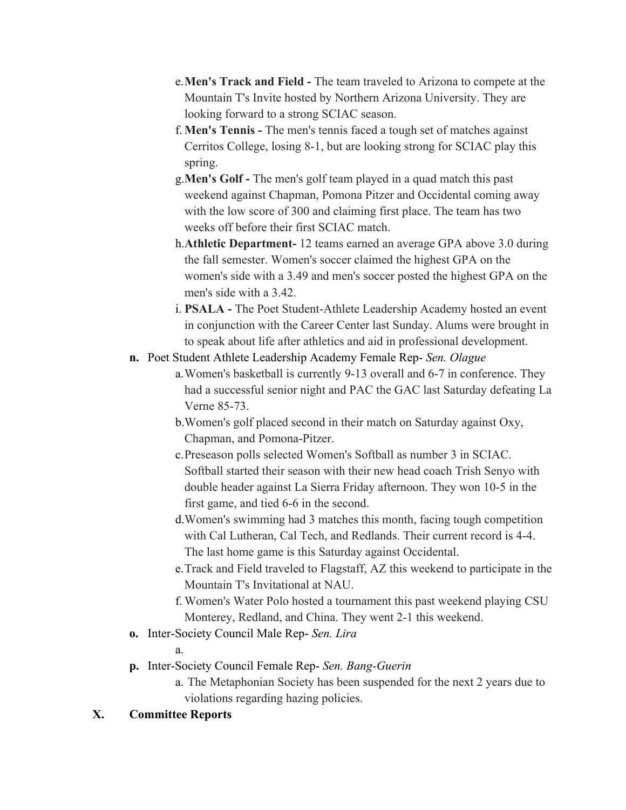- e.**Men's Track and Field -** The team traveled to Arizona to compete at the Mountain T's Invite hosted by Northern Arizona University. They are looking forward to a strong SCIAC season.
- f. **Men's Tennis -** The men's tennis faced a tough set of matches against Cerritos College, losing 8-1, but are looking strong for SCIAC play this spring.
- g.**Men's Golf -** The men's golf team played in a quad match this past weekend against Chapman, Pomona Pitzer and Occidental coming away with the low score of 300 and claiming first place. The team has two weeks off before their first SCIAC match.
- h.**Athletic Department-** 12 teams earned an average GPA above 3.0 during the fall semester. Women's soccer claimed the highest GPA on the women's side with a 3.49 and men's soccer posted the highest GPA on the men's side with a 3.42.
- i. **PSALA -** The Poet Student-Athlete Leadership Academy hosted an event in conjunction with the Career Center last Sunday. Alums were brought in to speak about life after athletics and aid in professional development.
- **n.** Poet Student Athlete Leadership Academy Female Rep- *Sen. Olague*
	- a.Women's basketball is currently 9-13 overall and 6-7 in conference. They had a successful senior night and PAC the GAC last Saturday defeating La Verne 85-73.
	- b.Women's golf placed second in their match on Saturday against Oxy, Chapman, and Pomona-Pitzer.
	- c.Preseason polls selected Women's Softball as number 3 in SCIAC. Softball started their season with their new head coach Trish Senyo with double header against La Sierra Friday afternoon. They won 10-5 in the first game, and tied 6-6 in the second.
	- d.Women's swimming had 3 matches this month, facing tough competition with Cal Lutheran, Cal Tech, and Redlands. Their current record is 4-4. The last home game is this Saturday against Occidental.
	- e.Track and Field traveled to Flagstaff, AZ this weekend to participate in the Mountain T's Invitational at NAU.
	- f. Women's Water Polo hosted a tournament this past weekend playing CSU Monterey, Redland, and China. They went 2-1 this weekend.
- **o.** Inter-Society Council Male Rep- *Sen. Lira*
	- a.
		-
- **p.** Inter-Society Council Female Rep- *Sen. Bang-Guerin*
	- a. The Metaphonian Society has been suspended for the next 2 years due to violations regarding hazing policies.

## **X. Committee Reports**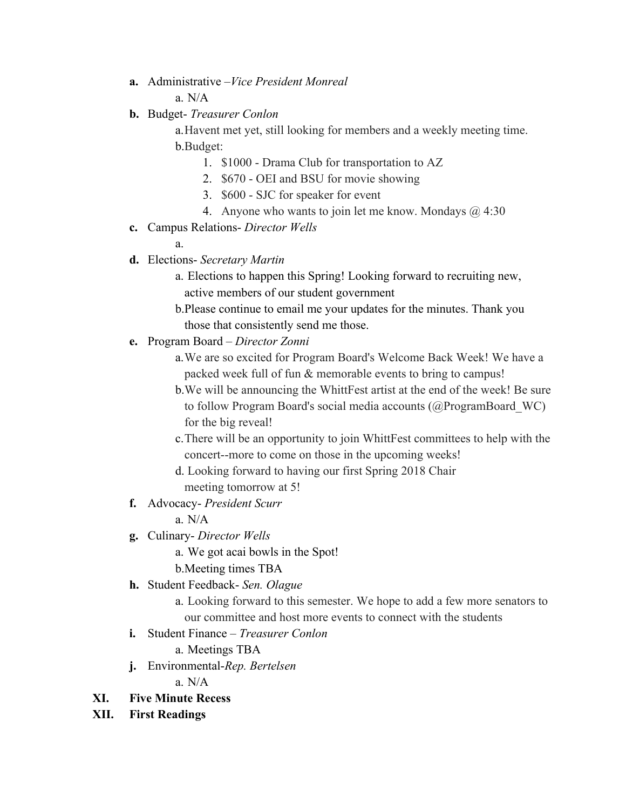- **a.** Administrative –*Vice President Monreal* a.  $N/A$
- **b.** Budget- *Treasurer Conlon*

a.Havent met yet, still looking for members and a weekly meeting time. b.Budget:

- 1. \$1000 Drama Club for transportation to AZ
- 2. \$670 OEI and BSU for movie showing
- 3. \$600 SJC for speaker for event
- 4. Anyone who wants to join let me know. Mondays @ 4:30
- **c.** Campus Relations- *Director Wells*

a.

- **d.** Elections- *Secretary Martin*
	- a. Elections to happen this Spring! Looking forward to recruiting new, active members of our student government
	- b.Please continue to email me your updates for the minutes. Thank you those that consistently send me those.
- **e.** Program Board *Director Zonni*
	- a.We are so excited for Program Board's Welcome Back Week! We have a packed week full of fun & memorable events to bring to campus!
	- b.We will be announcing the WhittFest artist at the end of the week! Be sure to follow Program Board's social media accounts (@ProgramBoard\_WC) for the big reveal!
	- c.There will be an opportunity to join WhittFest committees to help with the concert--more to come on those in the upcoming weeks!
	- d. Looking forward to having our first Spring 2018 Chair meeting tomorrow at 5!
- **f.** Advocacy- *President Scurr*
	- a. N/A
- **g.** Culinary- *Director Wells*
	- a. We got acai bowls in the Spot!
	- b.Meeting times TBA
- **h.** Student Feedback- *Sen. Olague* 
	- a. Looking forward to this semester. We hope to add a few more senators to our committee and host more events to connect with the students
- **i.** Student Finance *Treasurer Conlon*
	- a. Meetings TBA
- **j.** Environmental-*Rep. Bertelsen*

a. N/A

- **XI. Five Minute Recess**
- **XII. First Readings**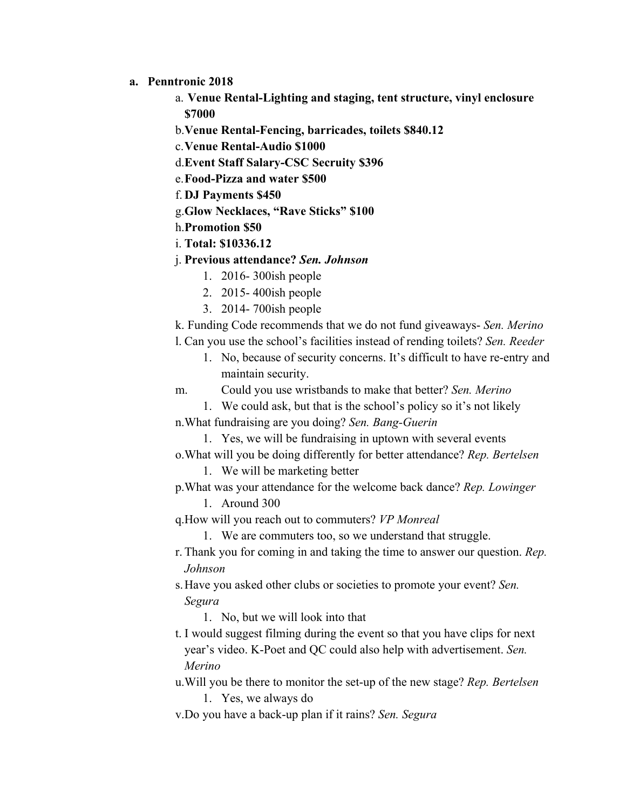- **a. Penntronic 2018**
	- a. **Venue Rental-Lighting and staging, tent structure, vinyl enclosure \$7000**
	- b.**Venue Rental-Fencing, barricades, toilets \$840.12**
	- c.**Venue Rental-Audio \$1000**
	- d.**Event Staff Salary-CSC Secruity \$396**
	- e.**Food-Pizza and water \$500**
	- f. **DJ Payments \$450**
	- g.**Glow Necklaces, "Rave Sticks" \$100**
	- h.**Promotion \$50**
	- i. **Total: \$10336.12**
	- j. **Previous attendance?** *Sen. Johnson*
		- 1. 2016- 300ish people
		- 2. 2015- 400ish people
		- 3. 2014- 700ish people

k. Funding Code recommends that we do not fund giveaways- *Sen. Merino*

- l. Can you use the school's facilities instead of rending toilets? *Sen. Reeder*
	- 1. No, because of security concerns. It's difficult to have re-entry and maintain security.
- m. Could you use wristbands to make that better? *Sen. Merino*
	- 1. We could ask, but that is the school's policy so it's not likely

n.What fundraising are you doing? *Sen. Bang-Guerin*

- 1. Yes, we will be fundraising in uptown with several events o.What will you be doing differently for better attendance? *Rep. Bertelsen*
	- 1. We will be marketing better
- p.What was your attendance for the welcome back dance? *Rep. Lowinger* 1. Around 300
- q.How will you reach out to commuters? *VP Monreal*
	- 1. We are commuters too, so we understand that struggle.
- r. Thank you for coming in and taking the time to answer our question. *Rep. Johnson*
- s.Have you asked other clubs or societies to promote your event? *Sen. Segura*

1. No, but we will look into that

t. I would suggest filming during the event so that you have clips for next year's video. K-Poet and QC could also help with advertisement. *Sen. Merino*

u.Will you be there to monitor the set-up of the new stage? *Rep. Bertelsen*

1. Yes, we always do

v.Do you have a back-up plan if it rains? *Sen. Segura*